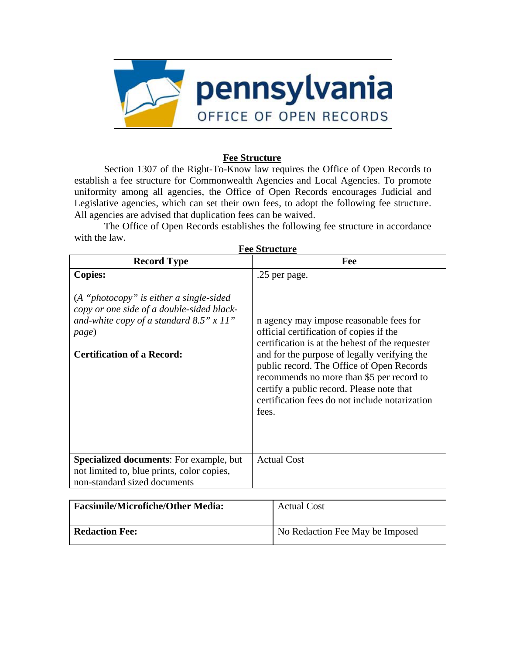

## **Fee Structure**

Section 1307 of the Right-To-Know law requires the Office of Open Records to establish a fee structure for Commonwealth Agencies and Local Agencies. To promote uniformity among all agencies, the Office of Open Records encourages Judicial and Legislative agencies, which can set their own fees, to adopt the following fee structure. All agencies are advised that duplication fees can be waived.

The Office of Open Records establishes the following fee structure in accordance with the law.

| <b>Record Type</b>                                                                                                                                                                | Fee                                                                                                                                                                                                                                                                                                                                                                                     |
|-----------------------------------------------------------------------------------------------------------------------------------------------------------------------------------|-----------------------------------------------------------------------------------------------------------------------------------------------------------------------------------------------------------------------------------------------------------------------------------------------------------------------------------------------------------------------------------------|
| <b>Copies:</b>                                                                                                                                                                    | .25 per page.                                                                                                                                                                                                                                                                                                                                                                           |
| $(A$ "photocopy" is either a single-sided<br>copy or one side of a double-sided black-<br>and-white copy of a standard $8.5" x 11"$<br>page)<br><b>Certification of a Record:</b> | n agency may impose reasonable fees for<br>official certification of copies if the<br>certification is at the behest of the requester<br>and for the purpose of legally verifying the<br>public record. The Office of Open Records<br>recommends no more than \$5 per record to<br>certify a public record. Please note that<br>certification fees do not include notarization<br>fees. |
| <b>Specialized documents:</b> For example, but<br>not limited to, blue prints, color copies,<br>non-standard sized documents                                                      | <b>Actual Cost</b>                                                                                                                                                                                                                                                                                                                                                                      |

**Fee Structure** 

| <b>Facsimile/Microfiche/Other Media:</b> | Actual Cost                     |
|------------------------------------------|---------------------------------|
| <b>Redaction Fee:</b>                    | No Redaction Fee May be Imposed |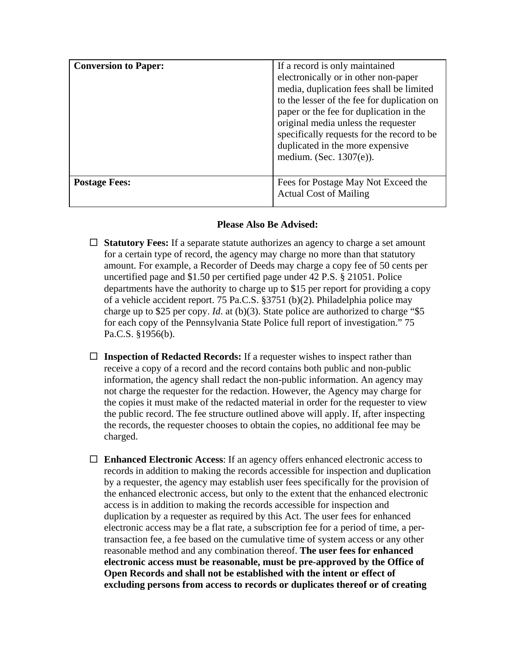| <b>Conversion to Paper:</b> | If a record is only maintained<br>electronically or in other non-paper<br>media, duplication fees shall be limited<br>to the lesser of the fee for duplication on<br>paper or the fee for duplication in the<br>original media unless the requester<br>specifically requests for the record to be<br>duplicated in the more expensive<br>medium. (Sec. 1307(e)). |
|-----------------------------|------------------------------------------------------------------------------------------------------------------------------------------------------------------------------------------------------------------------------------------------------------------------------------------------------------------------------------------------------------------|
| <b>Postage Fees:</b>        | Fees for Postage May Not Exceed the<br><b>Actual Cost of Mailing</b>                                                                                                                                                                                                                                                                                             |

## **Please Also Be Advised:**

- **Statutory Fees:** If a separate statute authorizes an agency to charge a set amount for a certain type of record, the agency may charge no more than that statutory amount. For example, a Recorder of Deeds may charge a copy fee of 50 cents per uncertified page and \$1.50 per certified page under 42 P.S. § 21051. Police departments have the authority to charge up to \$15 per report for providing a copy of a vehicle accident report. 75 Pa.C.S. §3751 (b)(2). Philadelphia police may charge up to \$25 per copy. *Id*. at (b)(3). State police are authorized to charge "\$5 for each copy of the Pennsylvania State Police full report of investigation." 75 Pa.C.S. §1956(b).
- **Inspection of Redacted Records:** If a requester wishes to inspect rather than receive a copy of a record and the record contains both public and non-public information, the agency shall redact the non-public information. An agency may not charge the requester for the redaction. However, the Agency may charge for the copies it must make of the redacted material in order for the requester to view the public record. The fee structure outlined above will apply. If, after inspecting the records, the requester chooses to obtain the copies, no additional fee may be charged.
- **Enhanced Electronic Access**: If an agency offers enhanced electronic access to records in addition to making the records accessible for inspection and duplication by a requester, the agency may establish user fees specifically for the provision of the enhanced electronic access, but only to the extent that the enhanced electronic access is in addition to making the records accessible for inspection and duplication by a requester as required by this Act. The user fees for enhanced electronic access may be a flat rate, a subscription fee for a period of time, a pertransaction fee, a fee based on the cumulative time of system access or any other reasonable method and any combination thereof. **The user fees for enhanced electronic access must be reasonable, must be pre-approved by the Office of Open Records and shall not be established with the intent or effect of excluding persons from access to records or duplicates thereof or of creating**